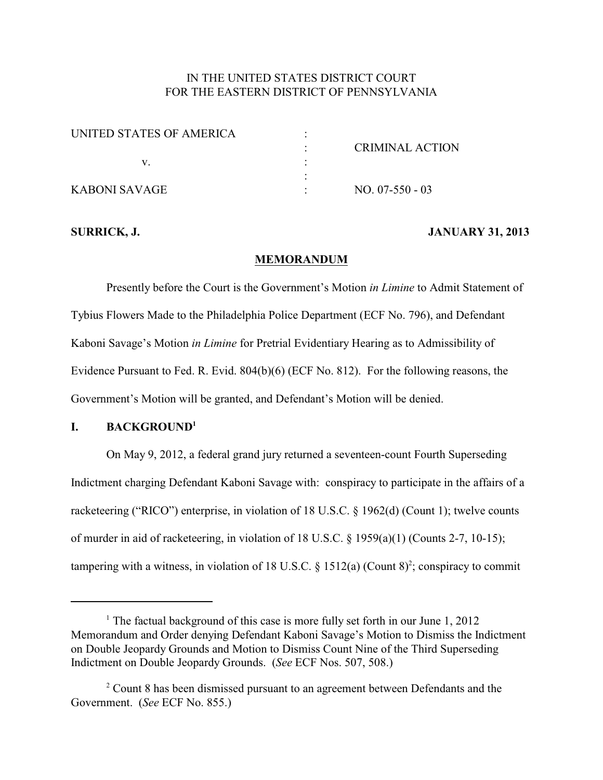# IN THE UNITED STATES DISTRICT COURT FOR THE EASTERN DISTRICT OF PENNSYLVANIA

| UNITED STATES OF AMERICA |                 |
|--------------------------|-----------------|
|                          | CRIMINAL ACTION |
|                          |                 |
|                          |                 |
| KABONI SAVAGE            | $NO. 07-550-03$ |

## **SURRICK, J. JANUARY 31, 2013**

### **MEMORANDUM**

Presently before the Court is the Government's Motion *in Limine* to Admit Statement of Tybius Flowers Made to the Philadelphia Police Department (ECF No. 796), and Defendant Kaboni Savage's Motion *in Limine* for Pretrial Evidentiary Hearing as to Admissibility of Evidence Pursuant to Fed. R. Evid. 804(b)(6) (ECF No. 812). For the following reasons, the Government's Motion will be granted, and Defendant's Motion will be denied.

# **I. BACKGROUND<sup>1</sup>**

On May 9, 2012, a federal grand jury returned a seventeen-count Fourth Superseding Indictment charging Defendant Kaboni Savage with: conspiracy to participate in the affairs of a racketeering ("RICO") enterprise, in violation of 18 U.S.C. § 1962(d) (Count 1); twelve counts of murder in aid of racketeering, in violation of 18 U.S.C. § 1959(a)(1) (Counts 2-7, 10-15); tampering with a witness, in violation of 18 U.S.C.  $\S$  1512(a) (Count 8)<sup>2</sup>; conspiracy to commit

<sup>&</sup>lt;sup>1</sup> The factual background of this case is more fully set forth in our June 1, 2012 Memorandum and Order denying Defendant Kaboni Savage's Motion to Dismiss the Indictment on Double Jeopardy Grounds and Motion to Dismiss Count Nine of the Third Superseding Indictment on Double Jeopardy Grounds. (*See* ECF Nos. 507, 508.)

 $2$  Count 8 has been dismissed pursuant to an agreement between Defendants and the Government. (*See* ECF No. 855.)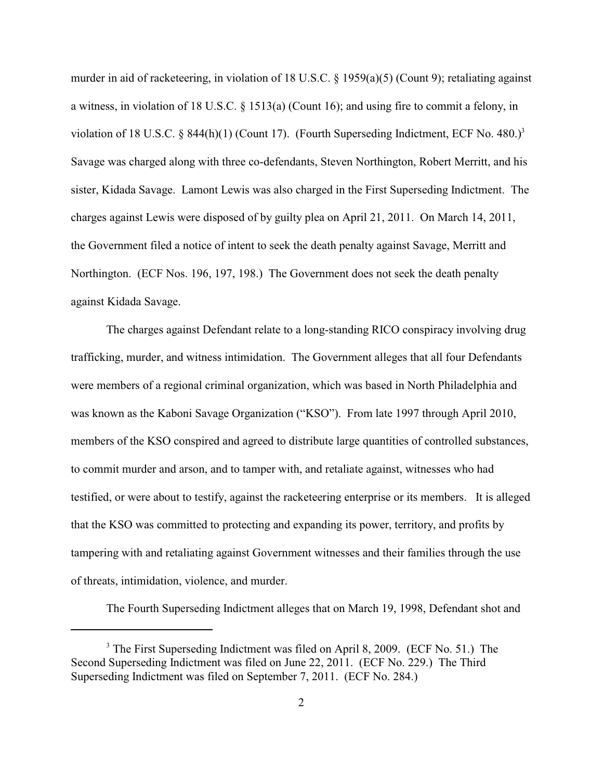murder in aid of racketeering, in violation of 18 U.S.C. § 1959(a)(5) (Count 9); retaliating against a witness, in violation of 18 U.S.C. § 1513(a) (Count 16); and using fire to commit a felony, in violation of 18 U.S.C. § 844(h)(1) (Count 17). (Fourth Superseding Indictment, ECF No. 480.)<sup>3</sup> Savage was charged along with three co-defendants, Steven Northington, Robert Merritt, and his sister, Kidada Savage. Lamont Lewis was also charged in the First Superseding Indictment. The charges against Lewis were disposed of by guilty plea on April 21, 2011. On March 14, 2011, the Government filed a notice of intent to seek the death penalty against Savage, Merritt and Northington. (ECF Nos. 196, 197, 198.) The Government does not seek the death penalty against Kidada Savage.

The charges against Defendant relate to a long-standing RICO conspiracy involving drug trafficking, murder, and witness intimidation. The Government alleges that all four Defendants were members of a regional criminal organization, which was based in North Philadelphia and was known as the Kaboni Savage Organization ("KSO"). From late 1997 through April 2010, members of the KSO conspired and agreed to distribute large quantities of controlled substances, to commit murder and arson, and to tamper with, and retaliate against, witnesses who had testified, or were about to testify, against the racketeering enterprise or its members. It is alleged that the KSO was committed to protecting and expanding its power, territory, and profits by tampering with and retaliating against Government witnesses and their families through the use of threats, intimidation, violence, and murder.

The Fourth Superseding Indictment alleges that on March 19, 1998, Defendant shot and

 $3$  The First Superseding Indictment was filed on April 8, 2009. (ECF No. 51.) The Second Superseding Indictment was filed on June 22, 2011. (ECF No. 229.) The Third Superseding Indictment was filed on September 7, 2011. (ECF No. 284.)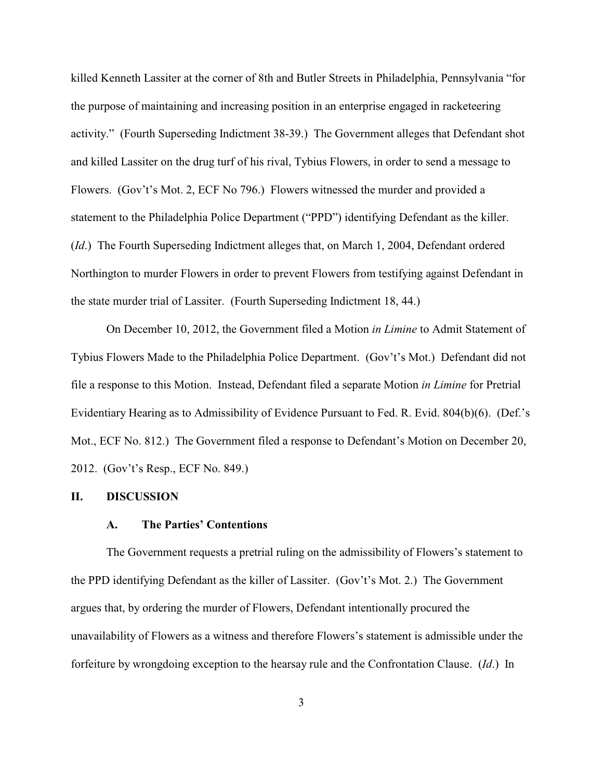killed Kenneth Lassiter at the corner of 8th and Butler Streets in Philadelphia, Pennsylvania "for the purpose of maintaining and increasing position in an enterprise engaged in racketeering activity." (Fourth Superseding Indictment 38-39.) The Government alleges that Defendant shot and killed Lassiter on the drug turf of his rival, Tybius Flowers, in order to send a message to Flowers. (Gov't's Mot. 2, ECF No 796.) Flowers witnessed the murder and provided a statement to the Philadelphia Police Department ("PPD") identifying Defendant as the killer. (*Id*.) The Fourth Superseding Indictment alleges that, on March 1, 2004, Defendant ordered Northington to murder Flowers in order to prevent Flowers from testifying against Defendant in the state murder trial of Lassiter. (Fourth Superseding Indictment 18, 44.)

On December 10, 2012, the Government filed a Motion *in Limine* to Admit Statement of Tybius Flowers Made to the Philadelphia Police Department. (Gov't's Mot.) Defendant did not file a response to this Motion. Instead, Defendant filed a separate Motion *in Limine* for Pretrial Evidentiary Hearing as to Admissibility of Evidence Pursuant to Fed. R. Evid. 804(b)(6). (Def.'s Mot., ECF No. 812.) The Government filed a response to Defendant's Motion on December 20, 2012. (Gov't's Resp., ECF No. 849.)

## **II. DISCUSSION**

#### **A. The Parties' Contentions**

The Government requests a pretrial ruling on the admissibility of Flowers's statement to the PPD identifying Defendant as the killer of Lassiter. (Gov't's Mot. 2.) The Government argues that, by ordering the murder of Flowers, Defendant intentionally procured the unavailability of Flowers as a witness and therefore Flowers's statement is admissible under the forfeiture by wrongdoing exception to the hearsay rule and the Confrontation Clause. (*Id*.) In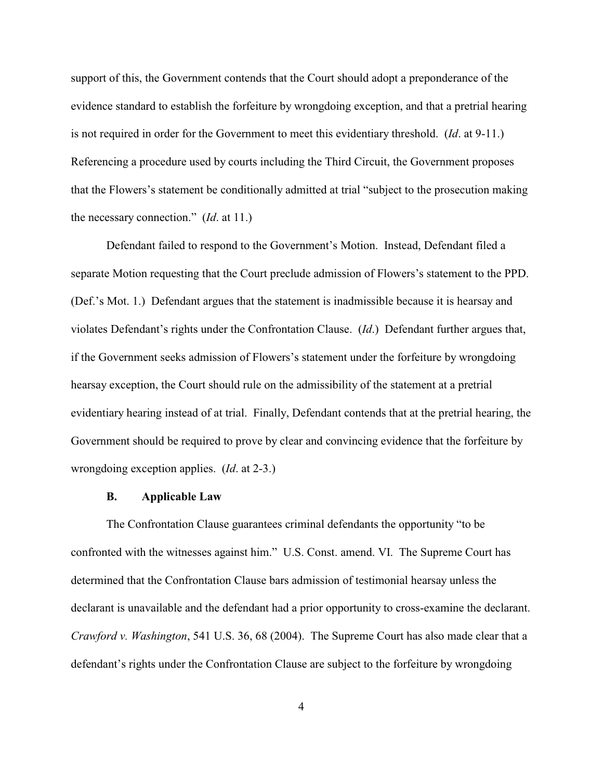support of this, the Government contends that the Court should adopt a preponderance of the evidence standard to establish the forfeiture by wrongdoing exception, and that a pretrial hearing is not required in order for the Government to meet this evidentiary threshold. (*Id*. at 9-11.) Referencing a procedure used by courts including the Third Circuit, the Government proposes that the Flowers's statement be conditionally admitted at trial "subject to the prosecution making the necessary connection." (*Id*. at 11.)

Defendant failed to respond to the Government's Motion. Instead, Defendant filed a separate Motion requesting that the Court preclude admission of Flowers's statement to the PPD. (Def.'s Mot. 1.) Defendant argues that the statement is inadmissible because it is hearsay and violates Defendant's rights under the Confrontation Clause. (*Id*.) Defendant further argues that, if the Government seeks admission of Flowers's statement under the forfeiture by wrongdoing hearsay exception, the Court should rule on the admissibility of the statement at a pretrial evidentiary hearing instead of at trial. Finally, Defendant contends that at the pretrial hearing, the Government should be required to prove by clear and convincing evidence that the forfeiture by wrongdoing exception applies. (*Id*. at 2-3.)

#### **B. Applicable Law**

The Confrontation Clause guarantees criminal defendants the opportunity "to be confronted with the witnesses against him." U.S. Const. amend. VI. The Supreme Court has determined that the Confrontation Clause bars admission of testimonial hearsay unless the declarant is unavailable and the defendant had a prior opportunity to cross-examine the declarant. *Crawford v. Washington*, 541 U.S. 36, 68 (2004). The Supreme Court has also made clear that a defendant's rights under the Confrontation Clause are subject to the forfeiture by wrongdoing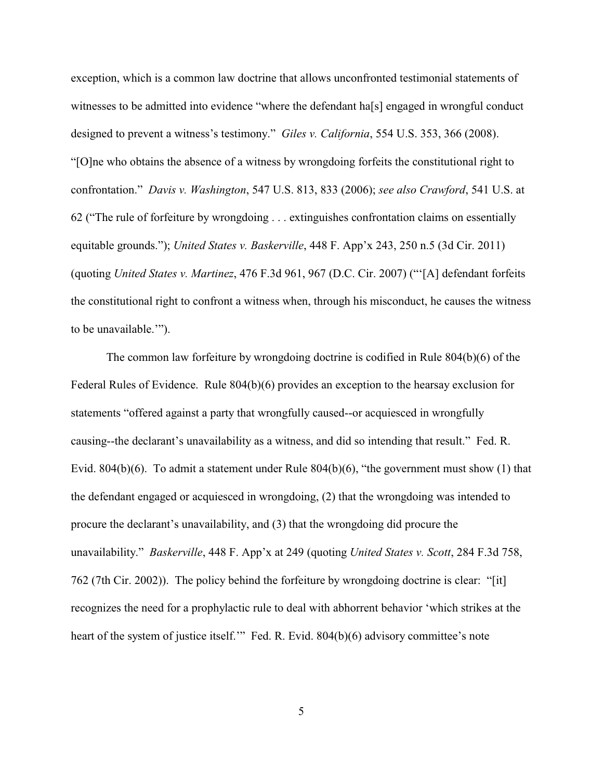exception, which is a common law doctrine that allows unconfronted testimonial statements of witnesses to be admitted into evidence "where the defendant ha[s] engaged in wrongful conduct designed to prevent a witness's testimony." *Giles v. California*, 554 U.S. 353, 366 (2008). "[O]ne who obtains the absence of a witness by wrongdoing forfeits the constitutional right to confrontation." *Davis v. Washington*, 547 U.S. 813, 833 (2006); *see also Crawford*, 541 U.S. at 62 ("The rule of forfeiture by wrongdoing . . . extinguishes confrontation claims on essentially equitable grounds."); *United States v. Baskerville*, 448 F. App'x 243, 250 n.5 (3d Cir. 2011) (quoting *United States v. Martinez*, 476 F.3d 961, 967 (D.C. Cir. 2007) ("'[A] defendant forfeits the constitutional right to confront a witness when, through his misconduct, he causes the witness to be unavailable.'").

The common law forfeiture by wrongdoing doctrine is codified in Rule 804(b)(6) of the Federal Rules of Evidence. Rule 804(b)(6) provides an exception to the hearsay exclusion for statements "offered against a party that wrongfully caused--or acquiesced in wrongfully causing--the declarant's unavailability as a witness, and did so intending that result." Fed. R. Evid. 804(b)(6). To admit a statement under Rule 804(b)(6), "the government must show (1) that the defendant engaged or acquiesced in wrongdoing, (2) that the wrongdoing was intended to procure the declarant's unavailability, and (3) that the wrongdoing did procure the unavailability." *Baskerville*, 448 F. App'x at 249 (quoting *United States v. Scott*, 284 F.3d 758, 762 (7th Cir. 2002)). The policy behind the forfeiture by wrongdoing doctrine is clear: "[it] recognizes the need for a prophylactic rule to deal with abhorrent behavior 'which strikes at the heart of the system of justice itself." Fed. R. Evid. 804(b)(6) advisory committee's note

5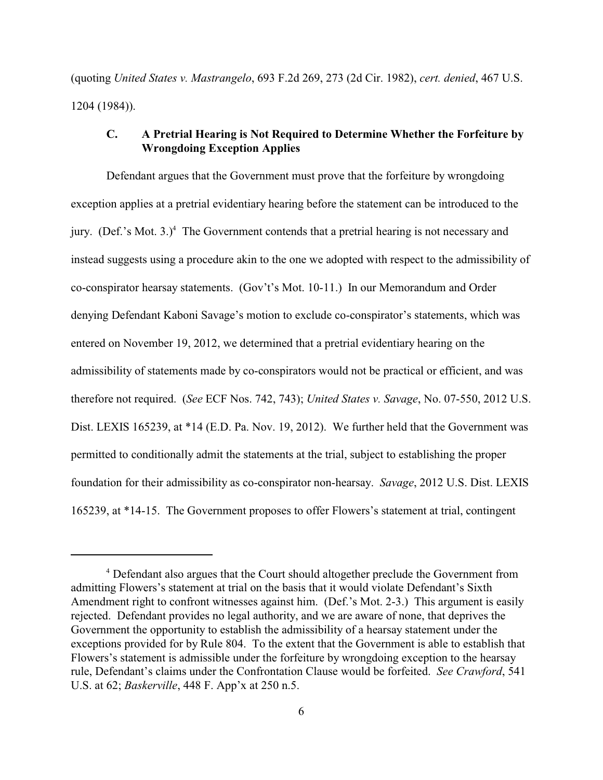(quoting *United States v. Mastrangelo*, 693 F.2d 269, 273 (2d Cir. 1982), *cert. denied*, 467 U.S. 1204 (1984)).

# **C. A Pretrial Hearing is Not Required to Determine Whether the Forfeiture by Wrongdoing Exception Applies**

Defendant argues that the Government must prove that the forfeiture by wrongdoing exception applies at a pretrial evidentiary hearing before the statement can be introduced to the jury. (Def.'s Mot.  $3.$ )<sup>4</sup> The Government contends that a pretrial hearing is not necessary and instead suggests using a procedure akin to the one we adopted with respect to the admissibility of co-conspirator hearsay statements. (Gov't's Mot. 10-11.) In our Memorandum and Order denying Defendant Kaboni Savage's motion to exclude co-conspirator's statements, which was entered on November 19, 2012, we determined that a pretrial evidentiary hearing on the admissibility of statements made by co-conspirators would not be practical or efficient, and was therefore not required. (*See* ECF Nos. 742, 743); *United States v. Savage*, No. 07-550, 2012 U.S. Dist. LEXIS 165239, at \*14 (E.D. Pa. Nov. 19, 2012). We further held that the Government was permitted to conditionally admit the statements at the trial, subject to establishing the proper foundation for their admissibility as co-conspirator non-hearsay. *Savage*, 2012 U.S. Dist. LEXIS 165239, at \*14-15. The Government proposes to offer Flowers's statement at trial, contingent

Defendant also argues that the Court should altogether preclude the Government from <sup>4</sup> admitting Flowers's statement at trial on the basis that it would violate Defendant's Sixth Amendment right to confront witnesses against him. (Def.'s Mot. 2-3.) This argument is easily rejected. Defendant provides no legal authority, and we are aware of none, that deprives the Government the opportunity to establish the admissibility of a hearsay statement under the exceptions provided for by Rule 804. To the extent that the Government is able to establish that Flowers's statement is admissible under the forfeiture by wrongdoing exception to the hearsay rule, Defendant's claims under the Confrontation Clause would be forfeited. *See Crawford*, 541 U.S. at 62; *Baskerville*, 448 F. App'x at 250 n.5.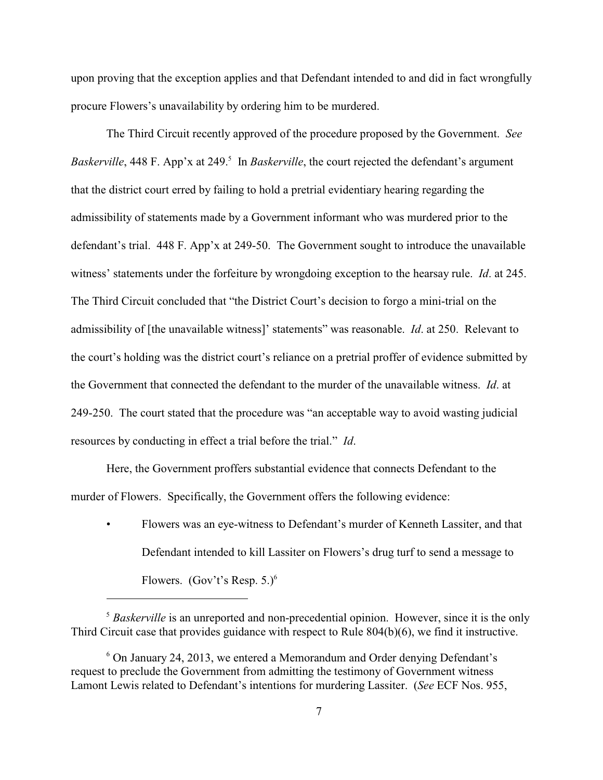upon proving that the exception applies and that Defendant intended to and did in fact wrongfully procure Flowers's unavailability by ordering him to be murdered.

The Third Circuit recently approved of the procedure proposed by the Government. *See Baskerville*, 448 F. App'x at 249.<sup>5</sup> In *Baskerville*, the court rejected the defendant's argument that the district court erred by failing to hold a pretrial evidentiary hearing regarding the admissibility of statements made by a Government informant who was murdered prior to the defendant's trial. 448 F. App'x at 249-50. The Government sought to introduce the unavailable witness' statements under the forfeiture by wrongdoing exception to the hearsay rule. *Id*. at 245. The Third Circuit concluded that "the District Court's decision to forgo a mini-trial on the admissibility of [the unavailable witness]' statements" was reasonable. *Id*. at 250. Relevant to the court's holding was the district court's reliance on a pretrial proffer of evidence submitted by the Government that connected the defendant to the murder of the unavailable witness. *Id*. at 249-250. The court stated that the procedure was "an acceptable way to avoid wasting judicial resources by conducting in effect a trial before the trial." *Id*.

Here, the Government proffers substantial evidence that connects Defendant to the murder of Flowers. Specifically, the Government offers the following evidence:

• Flowers was an eye-witness to Defendant's murder of Kenneth Lassiter, and that Defendant intended to kill Lassiter on Flowers's drug turf to send a message to Flowers. (Gov't's Resp.  $5.$ )<sup>6</sup>

<sup>&</sup>lt;sup>5</sup> Baskerville is an unreported and non-precedential opinion. However, since it is the only Third Circuit case that provides guidance with respect to Rule 804(b)(6), we find it instructive.

 $6$  On January 24, 2013, we entered a Memorandum and Order denying Defendant's request to preclude the Government from admitting the testimony of Government witness Lamont Lewis related to Defendant's intentions for murdering Lassiter. (*See* ECF Nos. 955,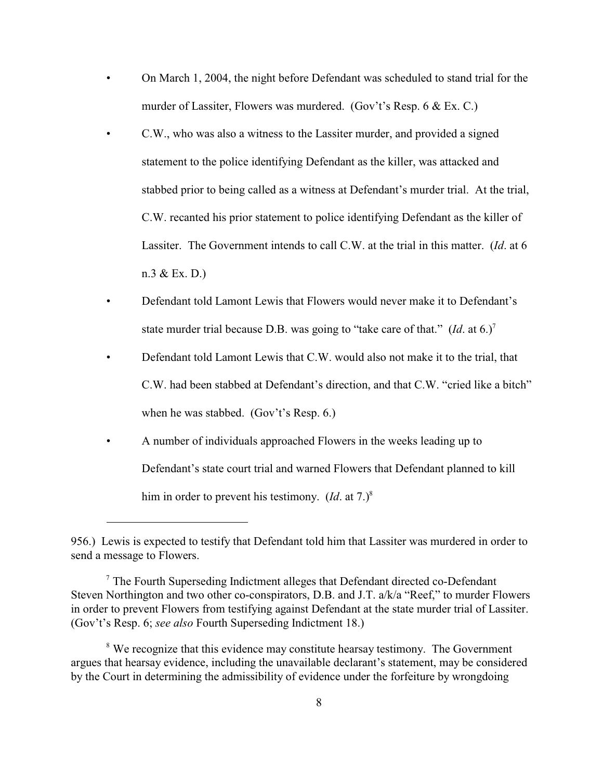- On March 1, 2004, the night before Defendant was scheduled to stand trial for the murder of Lassiter, Flowers was murdered. (Gov't's Resp. 6 & Ex. C.)
- C.W., who was also a witness to the Lassiter murder, and provided a signed statement to the police identifying Defendant as the killer, was attacked and stabbed prior to being called as a witness at Defendant's murder trial. At the trial, C.W. recanted his prior statement to police identifying Defendant as the killer of Lassiter. The Government intends to call C.W. at the trial in this matter. (*Id*. at 6 n.3 & Ex. D.)
- Defendant told Lamont Lewis that Flowers would never make it to Defendant's state murder trial because D.B. was going to "take care of that."  $(Id.$  at 6.)<sup>7</sup>
- Defendant told Lamont Lewis that C.W. would also not make it to the trial, that C.W. had been stabbed at Defendant's direction, and that C.W. "cried like a bitch" when he was stabbed. (Gov't's Resp. 6.)
- A number of individuals approached Flowers in the weeks leading up to Defendant's state court trial and warned Flowers that Defendant planned to kill him in order to prevent his testimony. (*Id.* at 7.)<sup>8</sup>

<sup>956.)</sup> Lewis is expected to testify that Defendant told him that Lassiter was murdered in order to send a message to Flowers.

 $\frac{7}{7}$  The Fourth Superseding Indictment alleges that Defendant directed co-Defendant Steven Northington and two other co-conspirators, D.B. and J.T. a/k/a "Reef," to murder Flowers in order to prevent Flowers from testifying against Defendant at the state murder trial of Lassiter. (Gov't's Resp. 6; *see also* Fourth Superseding Indictment 18.)

<sup>&</sup>lt;sup>8</sup> We recognize that this evidence may constitute hearsay testimony. The Government argues that hearsay evidence, including the unavailable declarant's statement, may be considered by the Court in determining the admissibility of evidence under the forfeiture by wrongdoing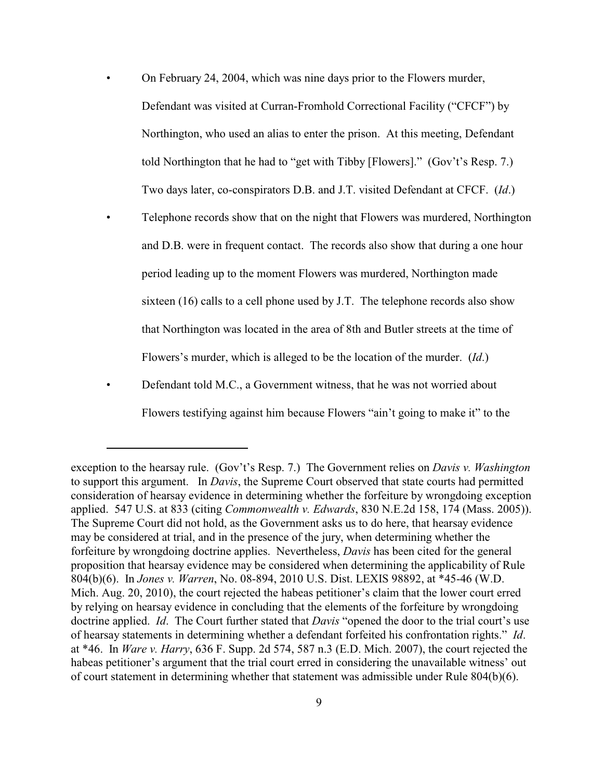- On February 24, 2004, which was nine days prior to the Flowers murder, Defendant was visited at Curran-Fromhold Correctional Facility ("CFCF") by Northington, who used an alias to enter the prison. At this meeting, Defendant told Northington that he had to "get with Tibby [Flowers]." (Gov't's Resp. 7.) Two days later, co-conspirators D.B. and J.T. visited Defendant at CFCF. (*Id*.)
- Telephone records show that on the night that Flowers was murdered, Northington and D.B. were in frequent contact. The records also show that during a one hour period leading up to the moment Flowers was murdered, Northington made sixteen (16) calls to a cell phone used by J.T. The telephone records also show that Northington was located in the area of 8th and Butler streets at the time of Flowers's murder, which is alleged to be the location of the murder. (*Id*.)
- Defendant told M.C., a Government witness, that he was not worried about Flowers testifying against him because Flowers "ain't going to make it" to the

exception to the hearsay rule. (Gov't's Resp. 7.) The Government relies on *Davis v. Washington* to support this argument. In *Davis*, the Supreme Court observed that state courts had permitted consideration of hearsay evidence in determining whether the forfeiture by wrongdoing exception applied. 547 U.S. at 833 (citing *Commonwealth v. Edwards*, 830 N.E.2d 158, 174 (Mass. 2005)). The Supreme Court did not hold, as the Government asks us to do here, that hearsay evidence may be considered at trial, and in the presence of the jury, when determining whether the forfeiture by wrongdoing doctrine applies. Nevertheless, *Davis* has been cited for the general proposition that hearsay evidence may be considered when determining the applicability of Rule 804(b)(6). In *Jones v. Warren*, No. 08-894, 2010 U.S. Dist. LEXIS 98892, at \*45-46 (W.D. Mich. Aug. 20, 2010), the court rejected the habeas petitioner's claim that the lower court erred by relying on hearsay evidence in concluding that the elements of the forfeiture by wrongdoing doctrine applied. *Id*. The Court further stated that *Davis* "opened the door to the trial court's use of hearsay statements in determining whether a defendant forfeited his confrontation rights." *Id*. at \*46. In *Ware v. Harry*, 636 F. Supp. 2d 574, 587 n.3 (E.D. Mich. 2007), the court rejected the habeas petitioner's argument that the trial court erred in considering the unavailable witness' out of court statement in determining whether that statement was admissible under Rule 804(b)(6).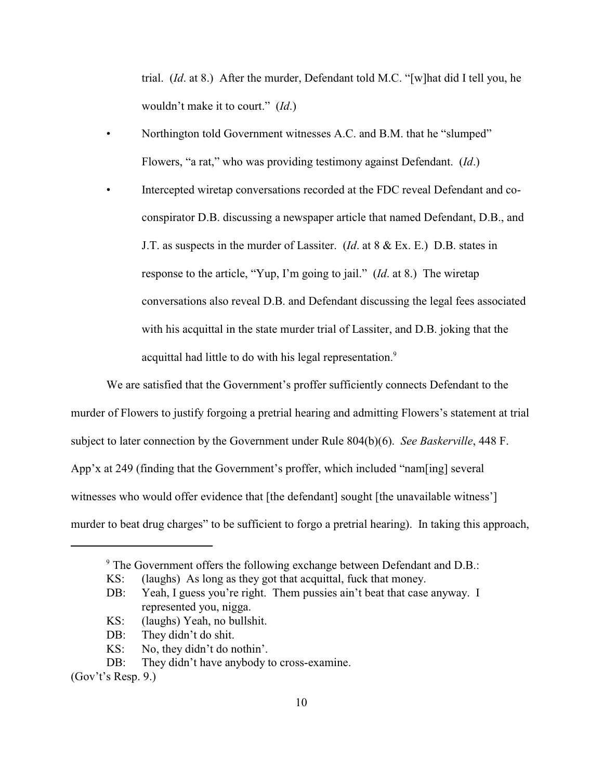trial. (*Id*. at 8.) After the murder, Defendant told M.C. "[w]hat did I tell you, he wouldn't make it to court." (*Id*.)

- Northington told Government witnesses A.C. and B.M. that he "slumped" Flowers, "a rat," who was providing testimony against Defendant. (*Id*.)
- Intercepted wiretap conversations recorded at the FDC reveal Defendant and coconspirator D.B. discussing a newspaper article that named Defendant, D.B., and J.T. as suspects in the murder of Lassiter. (*Id*. at 8 & Ex. E.) D.B. states in response to the article, "Yup, I'm going to jail." (*Id*. at 8.) The wiretap conversations also reveal D.B. and Defendant discussing the legal fees associated with his acquittal in the state murder trial of Lassiter, and D.B. joking that the acquittal had little to do with his legal representation.<sup>9</sup>

We are satisfied that the Government's proffer sufficiently connects Defendant to the murder of Flowers to justify forgoing a pretrial hearing and admitting Flowers's statement at trial subject to later connection by the Government under Rule 804(b)(6). *See Baskerville*, 448 F. App'x at 249 (finding that the Government's proffer, which included "nam[ing] several witnesses who would offer evidence that [the defendant] sought [the unavailable witness'] murder to beat drug charges" to be sufficient to forgo a pretrial hearing). In taking this approach,

- KS: (laughs) Yeah, no bullshit.
- DB: They didn't do shit.
- KS: No, they didn't do nothin'.

<sup>&</sup>lt;sup>9</sup> The Government offers the following exchange between Defendant and D.B.:

KS: (laughs) As long as they got that acquittal, fuck that money.

DB: Yeah, I guess you're right. Them pussies ain't beat that case anyway. I represented you, nigga.

DB: They didn't have any body to cross-examine.

<sup>(</sup>Gov't's Resp. 9.)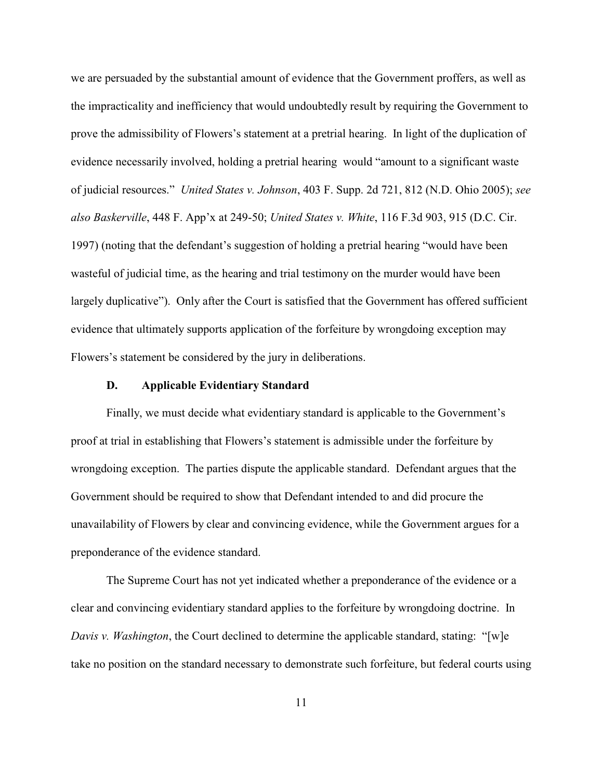we are persuaded by the substantial amount of evidence that the Government proffers, as well as the impracticality and inefficiency that would undoubtedly result by requiring the Government to prove the admissibility of Flowers's statement at a pretrial hearing. In light of the duplication of evidence necessarily involved, holding a pretrial hearing would "amount to a significant waste of judicial resources." *United States v. Johnson*, 403 F. Supp. 2d 721, 812 (N.D. Ohio 2005); *see also Baskerville*, 448 F. App'x at 249-50; *United States v. White*, 116 F.3d 903, 915 (D.C. Cir. 1997) (noting that the defendant's suggestion of holding a pretrial hearing "would have been wasteful of judicial time, as the hearing and trial testimony on the murder would have been largely duplicative"). Only after the Court is satisfied that the Government has offered sufficient evidence that ultimately supports application of the forfeiture by wrongdoing exception may Flowers's statement be considered by the jury in deliberations.

#### **D. Applicable Evidentiary Standard**

Finally, we must decide what evidentiary standard is applicable to the Government's proof at trial in establishing that Flowers's statement is admissible under the forfeiture by wrongdoing exception. The parties dispute the applicable standard. Defendant argues that the Government should be required to show that Defendant intended to and did procure the unavailability of Flowers by clear and convincing evidence, while the Government argues for a preponderance of the evidence standard.

The Supreme Court has not yet indicated whether a preponderance of the evidence or a clear and convincing evidentiary standard applies to the forfeiture by wrongdoing doctrine. In *Davis v. Washington*, the Court declined to determine the applicable standard, stating: "[w]e take no position on the standard necessary to demonstrate such forfeiture, but federal courts using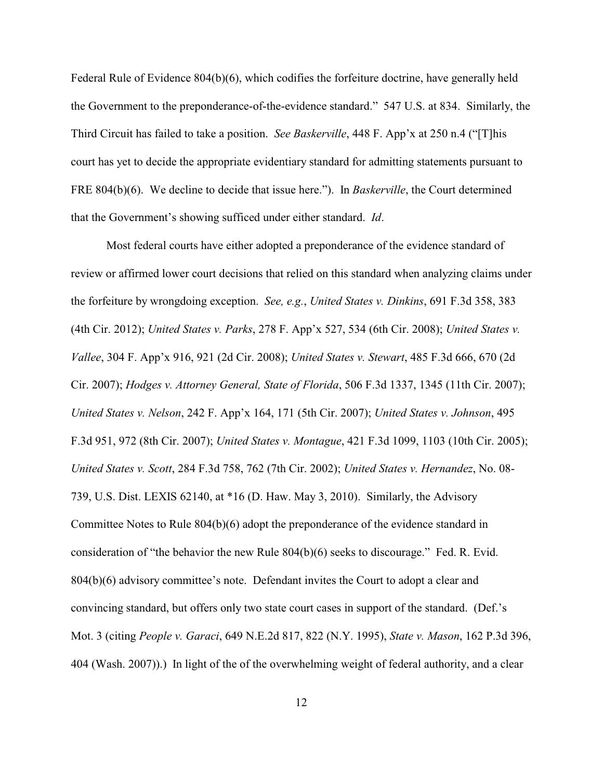Federal Rule of Evidence 804(b)(6), which codifies the forfeiture doctrine, have generally held the Government to the preponderance-of-the-evidence standard." 547 U.S. at 834. Similarly, the Third Circuit has failed to take a position. *See Baskerville*, 448 F. App'x at 250 n.4 ("[T]his court has yet to decide the appropriate evidentiary standard for admitting statements pursuant to FRE 804(b)(6). We decline to decide that issue here."). In *Baskerville*, the Court determined that the Government's showing sufficed under either standard. *Id*.

Most federal courts have either adopted a preponderance of the evidence standard of review or affirmed lower court decisions that relied on this standard when analyzing claims under the forfeiture by wrongdoing exception. *See, e.g.*, *United States v. Dinkins*, 691 F.3d 358, 383 (4th Cir. 2012); *United States v. Parks*, 278 F. App'x 527, 534 (6th Cir. 2008); *United States v. Vallee*, 304 F. App'x 916, 921 (2d Cir. 2008); *United States v. Stewart*, 485 F.3d 666, 670 (2d Cir. 2007); *Hodges v. Attorney General, State of Florida*, 506 F.3d 1337, 1345 (11th Cir. 2007); *United States v. Nelson*, 242 F. App'x 164, 171 (5th Cir. 2007); *United States v. Johnson*, 495 F.3d 951, 972 (8th Cir. 2007); *United States v. Montague*, 421 F.3d 1099, 1103 (10th Cir. 2005); *United States v. Scott*, 284 F.3d 758, 762 (7th Cir. 2002); *United States v. Hernandez*, No. 08- 739, U.S. Dist. LEXIS 62140, at \*16 (D. Haw. May 3, 2010). Similarly, the Advisory Committee Notes to Rule 804(b)(6) adopt the preponderance of the evidence standard in consideration of "the behavior the new Rule 804(b)(6) seeks to discourage." Fed. R. Evid. 804(b)(6) advisory committee's note. Defendant invites the Court to adopt a clear and convincing standard, but offers only two state court cases in support of the standard. (Def.'s Mot. 3 (citing *People v. Garaci*, 649 N.E.2d 817, 822 (N.Y. 1995), *State v. Mason*, 162 P.3d 396, 404 (Wash. 2007)).) In light of the of the overwhelming weight of federal authority, and a clear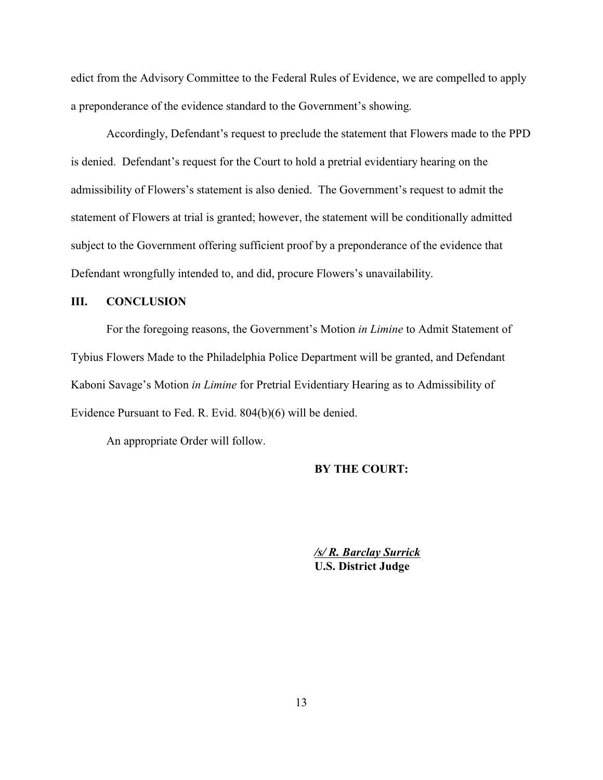edict from the Advisory Committee to the Federal Rules of Evidence, we are compelled to apply a preponderance of the evidence standard to the Government's showing.

Accordingly, Defendant's request to preclude the statement that Flowers made to the PPD is denied. Defendant's request for the Court to hold a pretrial evidentiary hearing on the admissibility of Flowers's statement is also denied. The Government's request to admit the statement of Flowers at trial is granted; however, the statement will be conditionally admitted subject to the Government offering sufficient proof by a preponderance of the evidence that Defendant wrongfully intended to, and did, procure Flowers's unavailability.

## **III. CONCLUSION**

For the foregoing reasons, the Government's Motion *in Limine* to Admit Statement of Tybius Flowers Made to the Philadelphia Police Department will be granted, and Defendant Kaboni Savage's Motion *in Limine* for Pretrial Evidentiary Hearing as to Admissibility of Evidence Pursuant to Fed. R. Evid. 804(b)(6) will be denied.

An appropriate Order will follow.

#### **BY THE COURT:**

*/s/ R. Barclay Surrick* **U.S. District Judge**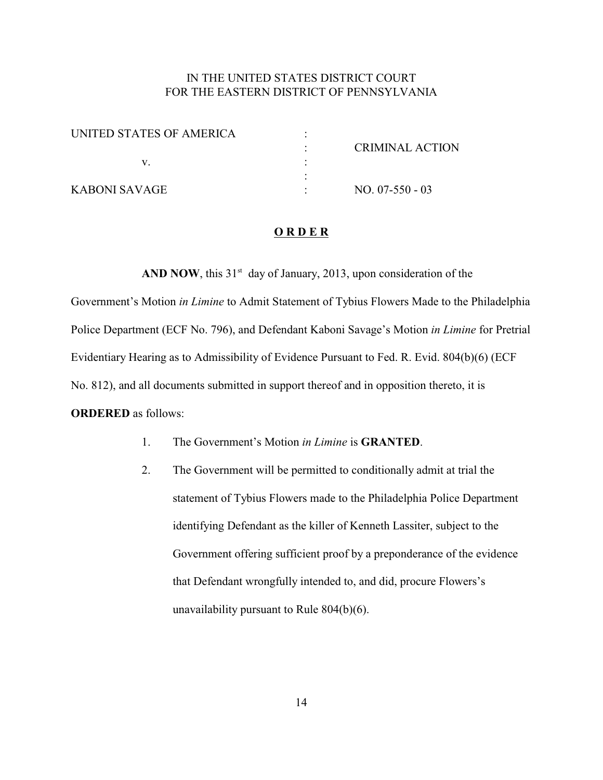# IN THE UNITED STATES DISTRICT COURT FOR THE EASTERN DISTRICT OF PENNSYLVANIA

| UNITED STATES OF AMERICA |                        |
|--------------------------|------------------------|
|                          | <b>CRIMINAL ACTION</b> |
|                          |                        |
|                          |                        |
| KABONI SAVAGE            | $NO. 07-550-03$        |

#### **O R D E R**

**AND NOW**, this  $31<sup>st</sup>$  day of January, 2013, upon consideration of the

Government's Motion *in Limine* to Admit Statement of Tybius Flowers Made to the Philadelphia Police Department (ECF No. 796), and Defendant Kaboni Savage's Motion *in Limine* for Pretrial Evidentiary Hearing as to Admissibility of Evidence Pursuant to Fed. R. Evid. 804(b)(6) (ECF No. 812), and all documents submitted in support thereof and in opposition thereto, it is **ORDERED** as follows:

- 1. The Government's Motion *in Limine* is **GRANTED**.
- 2. The Government will be permitted to conditionally admit at trial the statement of Tybius Flowers made to the Philadelphia Police Department identifying Defendant as the killer of Kenneth Lassiter, subject to the Government offering sufficient proof by a preponderance of the evidence that Defendant wrongfully intended to, and did, procure Flowers's unavailability pursuant to Rule 804(b)(6).